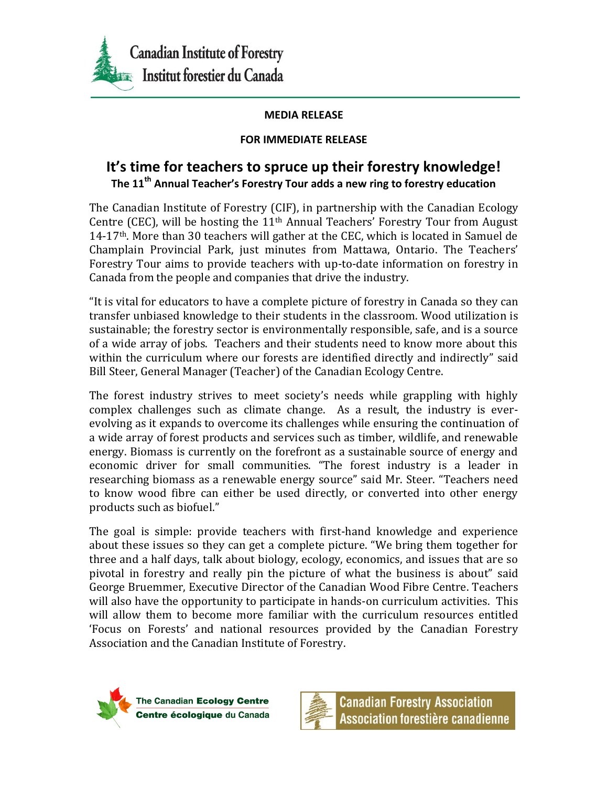

## **MEDIA RELEASE**

## **FOR IMMEDIATE RELEASE**

## **It's time for teachers to spruce up their forestry knowledge! The 11th Annual Teacher's Forestry Tour adds a new ring to forestry education**

The Canadian Institute of Forestry (CIF), in partnership with the Canadian Ecology Centre (CEC), will be hosting the 11th Annual Teachers' Forestry Tour from August 14-17th. More than 30 teachers will gather at the CEC, which is located in Samuel de Champlain Provincial Park, just minutes from Mattawa, Ontario. The Teachers' Forestry Tour aims to provide teachers with up-to-date information on forestry in Canada from the people and companies that drive the industry.

"It is vital for educators to have a complete picture of forestry in Canada so they can transfer unbiased knowledge to their students in the classroom. Wood utilization is sustainable; the forestry sector is environmentally responsible, safe, and is a source of a wide array of jobs. Teachers and their students need to know more about this within the curriculum where our forests are identified directly and indirectly" said Bill Steer, General Manager (Teacher) of the Canadian Ecology Centre.

The forest industry strives to meet society's needs while grappling with highly complex challenges such as climate change. As a result, the industry is everevolving as it expands to overcome its challenges while ensuring the continuation of a wide array of forest products and services such as timber, wildlife, and renewable energy. Biomass is currently on the forefront as a sustainable source of energy and economic driver for small communities. "The forest industry is a leader in researching biomass as a renewable energy source" said Mr. Steer. "Teachers need to know wood fibre can either be used directly, or converted into other energy products such as biofuel."

The goal is simple: provide teachers with first-hand knowledge and experience about these issues so they can get a complete picture. "We bring them together for three and a half days, talk about biology, ecology, economics, and issues that are so pivotal in forestry and really pin the picture of what the business is about" said George Bruemmer, Executive Director of the Canadian Wood Fibre Centre. Teachers will also have the opportunity to participate in hands-on curriculum activities. This will allow them to become more familiar with the curriculum resources entitled 'Focus on Forests' and national resources provided by the Canadian Forestry Association and the Canadian Institute of Forestry.